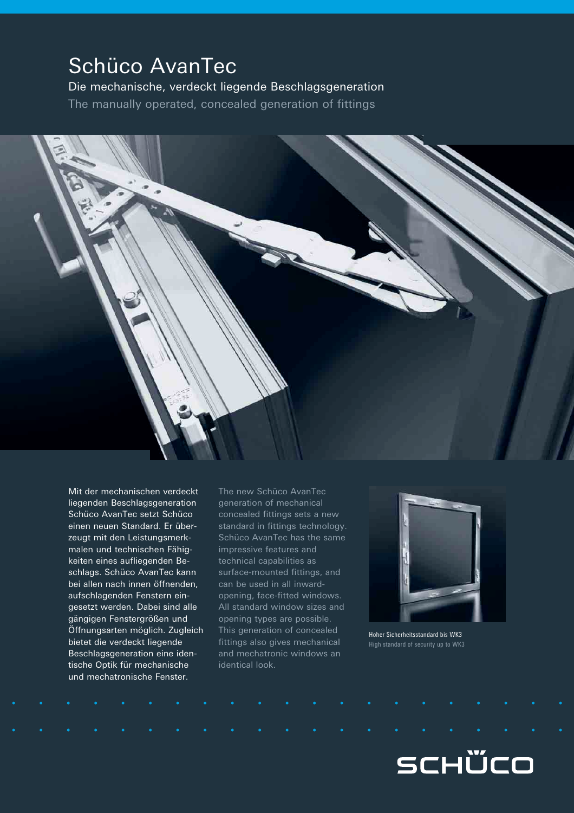## Schüco AvanTec

Die mechanische, verdeckt liegende Beschlagsgeneration The manually operated, concealed generation of fittings



Mit der mechanischen verdeckt liegenden Beschlagsgeneration Schüco AvanTec setzt Schüco einen neuen Standard. Er überzeugt mit den Leistungsmerkmalen und technischen Fähigkeiten eines aufliegenden Beschlags. Schüco AvanTec kann bei allen nach innen öffnenden, aufschlagenden Fenstern eingesetzt werden. Dabei sind alle gängigen Fenstergrößen und Öffnungsarten möglich. Zugleich bietet die verdeckt liegende Beschlagsgeneration eine identische Optik für mechanische und mechatronische Fenster.

The new Schüco AvanTec generation of mechanical concealed fittings sets a new standard in fittings technology. Schüco AvanTec has the same impressive features and technical capabilities as surface-mounted fittings, and can be used in all inwardopening, face-fitted windows. All standard window sizes and opening types are possible. This generation of concealed fittings also gives mechanical and mechatronic windows an identical look.



Hoher Sicherheitsstandard bis WK3 High standard of security up to WK3

# SCHÜCO